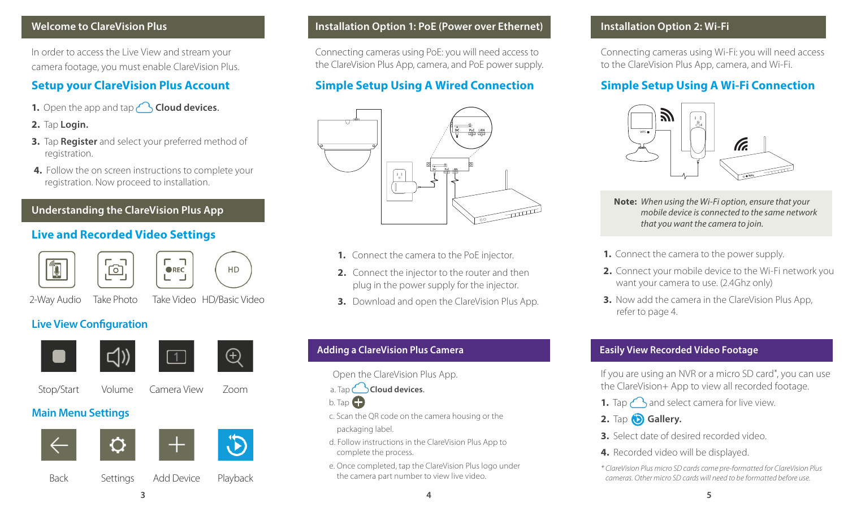#### **Welcome to ClareVision Plus**

In order to access the Live View and stream your camera footage, you must enable ClareVision Plus.

# **Setup your ClareVision Plus Account**

- **1.** Open the app and tap **Cloud devices**.
- **2.** Tap **Login.**
- **3.** Tap **Register** and select your preferred method of registration.
- **4.** Follow the on screen instructions to complete your registration. Now proceed to installation.

#### **Understanding the ClareVision Plus App**

#### **Live and Recorded Video Settings**

| 'ුලු'





2-Way Audio Take Photo Take Video HD/Basic Video

### **Live View Configuration**







Stop/Start Volume Camera View Zoom

### **Main Menu Settings**



#### **Installation Option 1: PoE (Power over Ethernet)**

Connecting cameras using PoE: you will need access to the ClareVision Plus App, camera, and PoE power supply.

## **Simple Setup Using A Wired Connection**



- **1.** Connect the camera to the PoE injector.
- **2.** Connect the injector to the router and then plug in the power supply for the injector.
- **3.** Download and open the ClareVision Plus App.

#### **Adding a ClareVision Plus Camera**

- Open the ClareVision Plus App.
- a. Tap **Cloud devices**.



 c. Scan the QR code on the camera housing or the packaging label.

 d. Follow instructions in the ClareVision Plus App to complete the process.

 e. Once completed, tap the ClareVision Plus logo under the camera part number to view live video.

#### **Installation Option 2: Wi-Fi**

Connecting cameras using Wi-Fi: you will need access to the ClareVision Plus App, camera, and Wi-Fi.

### **Simple Setup Using A Wi-Fi Connection**



**Note:** *When using the Wi-Fi option, ensure that your mobile device is connected to the same network that you want the camera to join.* 

- **1.** Connect the camera to the power supply.
- **2.** Connect your mobile device to the Wi-Fi network you want your camera to use. (2.4Ghz only)
- **3.** Now add the camera in the ClareVision Plus App. refer to page 4.

#### **Easily View Recorded Video Footage**

If you are using an NVR or a micro SD card\*, you can use the ClareVision+ App to view all recorded footage.

- **1.** Tap  $\bigcap$  and select camera for live view.
- 2. Tap **b** Gallery.
- **3.** Select date of desired recorded video.
- **4.** Recorded video will be displayed.

*\* ClareVision Plus micro SD cards come pre-formatted for ClareVision Plus cameras. Other micro SD cards will need to be formatted before use.*